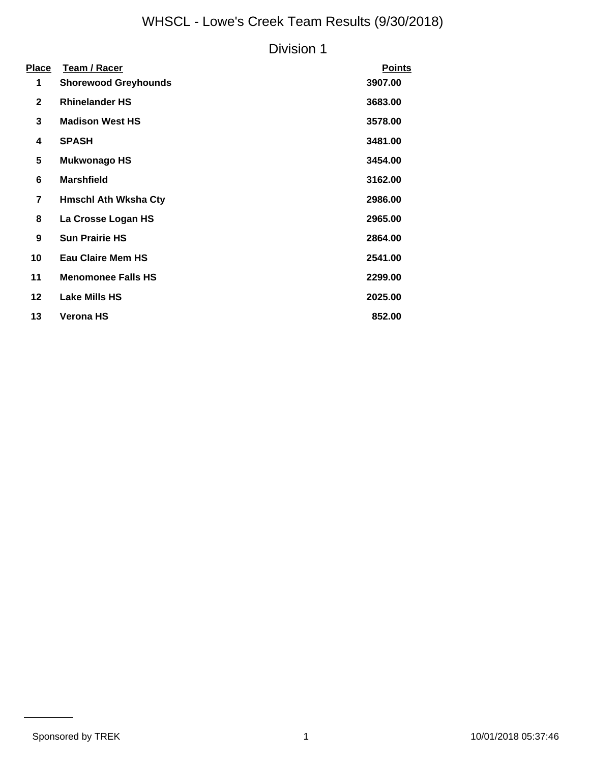# WHSCL - Lowe's Creek Team Results (9/30/2018)

### Division 1

| <u>Place</u>            | <b>Team / Racer</b>         | <b>Points</b> |
|-------------------------|-----------------------------|---------------|
| 1                       | <b>Shorewood Greyhounds</b> | 3907.00       |
| $\mathbf{2}$            | <b>Rhinelander HS</b>       | 3683.00       |
| 3                       | <b>Madison West HS</b>      | 3578.00       |
| 4                       | <b>SPASH</b>                | 3481.00       |
| 5                       | <b>Mukwonago HS</b>         | 3454.00       |
| 6                       | <b>Marshfield</b>           | 3162.00       |
| $\overline{\mathbf{r}}$ | <b>Hmschl Ath Wksha Cty</b> | 2986.00       |
| 8                       | La Crosse Logan HS          | 2965.00       |
| 9                       | <b>Sun Prairie HS</b>       | 2864.00       |
| 10                      | <b>Eau Claire Mem HS</b>    | 2541.00       |
| 11                      | <b>Menomonee Falls HS</b>   | 2299.00       |
| 12                      | <b>Lake Mills HS</b>        | 2025.00       |
| 13                      | <b>Verona HS</b>            | 852.00        |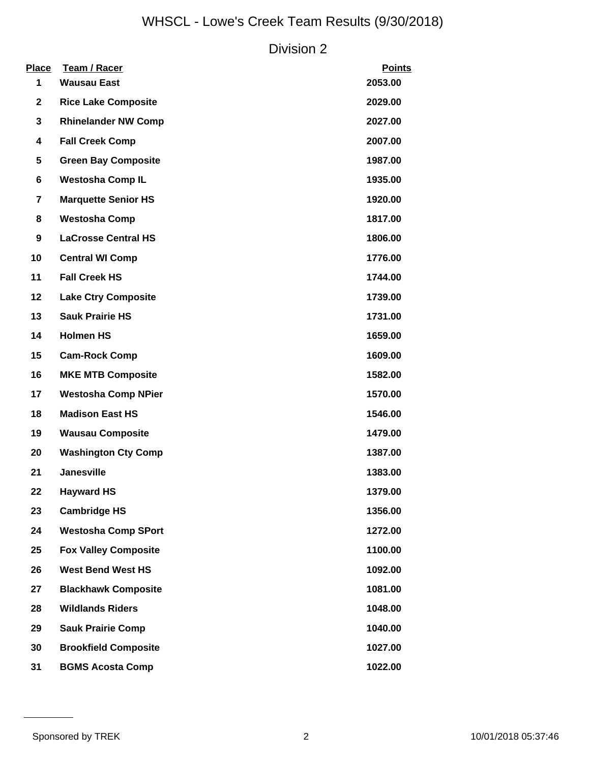# WHSCL - Lowe's Creek Team Results (9/30/2018)

### Division 2

| <b>Place</b><br>1 | <b>Team / Racer</b><br><b>Wausau East</b> | <b>Points</b><br>2053.00 |
|-------------------|-------------------------------------------|--------------------------|
| $\mathbf{2}$      | <b>Rice Lake Composite</b>                | 2029.00                  |
| 3                 | <b>Rhinelander NW Comp</b>                | 2027.00                  |
| 4                 | <b>Fall Creek Comp</b>                    | 2007.00                  |
| 5                 | <b>Green Bay Composite</b>                | 1987.00                  |
| 6                 | <b>Westosha Comp IL</b>                   | 1935.00                  |
| $\overline{7}$    | <b>Marquette Senior HS</b>                | 1920.00                  |
| 8                 | <b>Westosha Comp</b>                      | 1817.00                  |
| 9                 | <b>LaCrosse Central HS</b>                | 1806.00                  |
| 10                | <b>Central WI Comp</b>                    | 1776.00                  |
| 11                | <b>Fall Creek HS</b>                      | 1744.00                  |
| 12                | <b>Lake Ctry Composite</b>                | 1739.00                  |
| 13                | <b>Sauk Prairie HS</b>                    | 1731.00                  |
| 14                | <b>Holmen HS</b>                          | 1659.00                  |
| 15                | <b>Cam-Rock Comp</b>                      | 1609.00                  |
| 16                | <b>MKE MTB Composite</b>                  | 1582.00                  |
| 17                | <b>Westosha Comp NPier</b>                | 1570.00                  |
| 18                | <b>Madison East HS</b>                    | 1546.00                  |
| 19                | <b>Wausau Composite</b>                   | 1479.00                  |
| 20                | <b>Washington Cty Comp</b>                | 1387.00                  |
| 21                | <b>Janesville</b>                         | 1383.00                  |
| 22                | <b>Hayward HS</b>                         | 1379.00                  |
| 23                | <b>Cambridge HS</b>                       | 1356.00                  |
| 24                | <b>Westosha Comp SPort</b>                | 1272.00                  |
| 25                | <b>Fox Valley Composite</b>               | 1100.00                  |
| 26                | <b>West Bend West HS</b>                  | 1092.00                  |
| 27                | <b>Blackhawk Composite</b>                | 1081.00                  |
| 28                | <b>Wildlands Riders</b>                   | 1048.00                  |
| 29                | <b>Sauk Prairie Comp</b>                  | 1040.00                  |
| 30                | <b>Brookfield Composite</b>               | 1027.00                  |
| 31                | <b>BGMS Acosta Comp</b>                   | 1022.00                  |